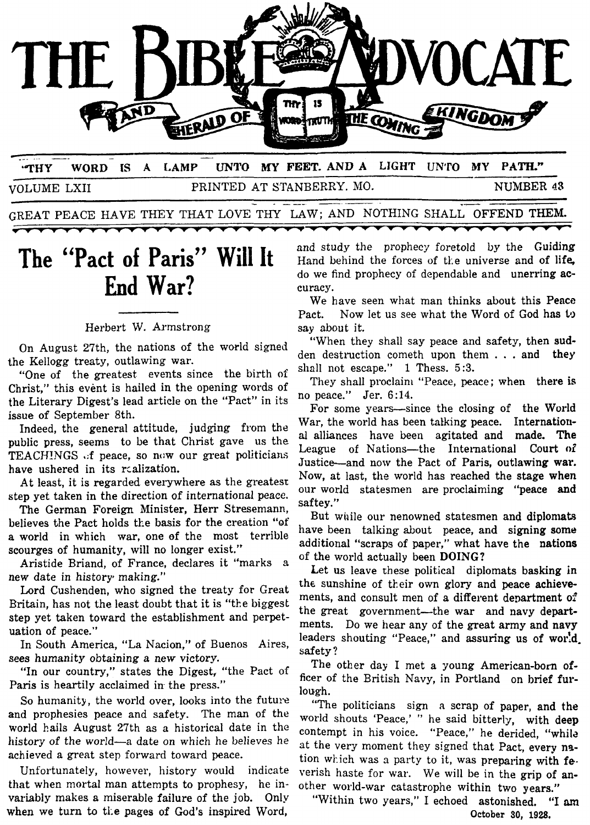

**'THY WORD IS A LAMP UNTO** *MY* **FEET. ANDA LIGHT UN'I'O** *MY* **PATH."**  VOLUME LXII PRINTED AT STANBERRY. MO. NUMBER **43** 

GREAT PEACE **HAVE** THEY THAT LOVE THY LAW; AND NOTHING SHALL OFFEND THEM.

 $\overline{\phantom{0}}$ 

## **The "Pact of Paris" Will It End War?**

----

## Herbert W. Armstrong

On August 27th, the nations of the world signed the Kellogg treaty, outlawing war.

"One of the greatest events since the birth of Christ," this event is hailed in the opening words of the Literary Digest's lead article on the "Pact" in its issue of September 8th.

Indeed, the general attitude, judging from the public press, seems to be that Christ gave us the TEACHINGS **.:f** peace, so now our great politicians have ushered in its rcalization.

At least, it is regarded everywhere as the greatest step yet taken in the direction of international peace.

The German Foreign Minister, Herr Stresemann, believes the Pact holds tte basis for the creation **"of a** world in which war, one **ef** the most terrible scourges of humanity, will no longer exist."

Aristide Briand, of France, declares it "marks a new date in history making."

Lord Cushenden, who signed the treaty for Great Britain, has not the least doubt that it is "the biggest step yet taken toward the establishment and perpetuation of peace."

In South America, "La Nacion," of Buenos Aires, sees humanity obtaining a new victory.

"In our country," states the Digest, "the Pact **OC**  Paris is heartily acclaimed in the press."

So humanity, the world over, looks into the future and prophesies peace and safety. The man of the world hails August 27th as a historical date in the history of the world-a date on which he believes he achieved a great step forward toward peace.

Unfortunately, however, history would indicate that when mortal man attempts to prophesy, he invariably makes a miserable failure of the job. Only when we turn to the pages of God's inspired Word,

and study the prophecy foretold by the Guiding Hand behind the forces of tl:e universe and **of** life, do we find prophecy of dependable and unerring accuracy.

We have seen what man thinks about this **Pence**  Pact. Now let us see what the Word of God has to say about it.

"When they shall say peace and safety, then sudden destruction cometh upon them . . . and they shall not escape." 1 Thess. **5:3.** 

They shall proclaini "Peace, peace; when there **is**  no peace." Jer. 6:14.

For some years—since the closing of the World War, the world has been talking peace. International alliances have been agitated and made. The League of Nations-the International **Court oI**  Justice-and now the Pact of Paris, outlawing war. Now, at last, the world has reached the stage when our world statesmen are proclaiming "peace **and**  saf te **y.** "

But while our nenowned statesmen and diplomats have been talking about peace, and **signing some**  additional "scraps of paper," what have the nations of the world actually been **DOING?** 

Let us leave these political diplomats basking in the sunshine of their own glory and peace achievements, and consult men of a different department of the great government-the war and navy departments. Do we hear any of the great army and navy leaders shouting "Peace," and assuring us of world. safety ?

The other day I met a young American-born *of*ficer of the British Navy, in Portland on brief **fur**lough.

"The politicians sign a scrap of paper, and the world shouts 'Peace,' " he said bitterly, with deep contempt in his voice. "Peace," he derided, "whila at the very moment they signed that Pact, every nstion which was **3** party to it, was preparing with **fe.**  verish haste for war. We will be in the grip of another world-war catastrophe within two years."

"Within two years," I echoed astonished. "I **am October** *30,* **1928.**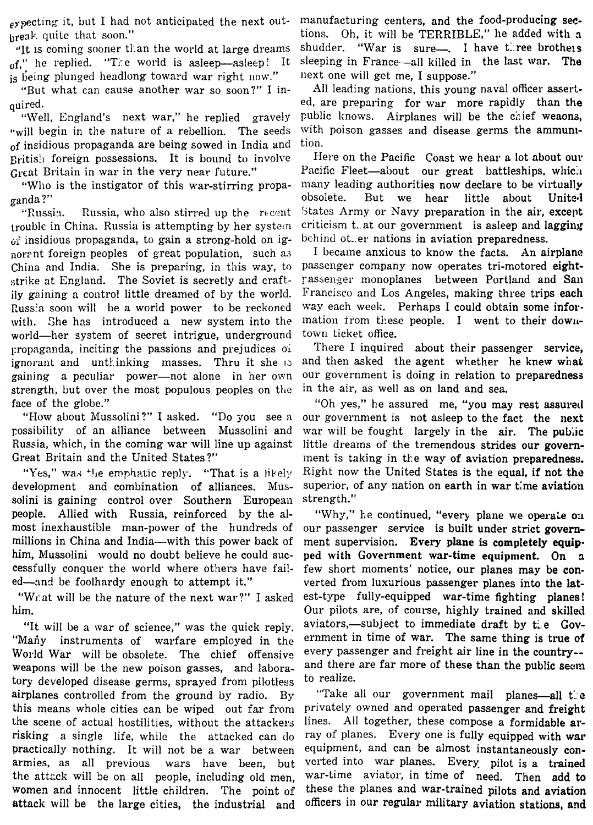$_{eX}$  pecting it, but I had not anticipated the next out**break** quite that soon."

 $'$ It is coming sooner than the world at large dreams of." he replied. "The world is asleep-asleep: It is being plunged headlong toward war right now."

"But what can cause another war so soon?" I inquired.

"Well, England's next war," he replied gravely "will begin in the nature of a rebellion. The seeds of insidious propaganda are being sowed in India and Eritis.1 foreign possessions. It is bound to involve Great Britain in war in the very near future."

"Who is the instigator **of** this war-stirring propaganda ?"

"Russia. Russia, who also stirred up the recent trouble in China. Russia is attempting by her system ui insidious propaganda, to gain **a** strong-hold on ignorant foreign peoples of great population, such as China and India. She is preparing, in this way, to strike at England. The Soviet is secretly and craftily gaining a control little dreamed of by the world. Russia soon will be a world power to be reckoned with. She has introduced a new system into the world-her system of secret intrigue, underground I:ropagmda, inciting the passions and prejudices **<sup>01</sup>** ignorant and untkinking masses, Thru it she **1.:**  gaining **a** peculiar power-not alone in her own strength, but over the most populous peoples on the face of the globe."

"How about Mussolini?" I asked. "Do you see a rossibility of an alliance between Mussolini and Russia, which, in the coming war will line up against Great Britain and the United States?"

"Yes," was the emphatic reply. "That is a likely development and combination of alliances. Mussolini is gaining control over Southern European people. Allied with Russia, reinforced by the almost inexhaustible man-power of the hundreds of millions in China and India—with this power back of him, Mussolini would no doubt believe he could successfully conquer the world where others have fail- few short moments' notice, our planes may be **con**ed-and be foolhardy enough to attempt it." verted from luxurious passenger planes into the lat-

him. Our pilots are, of course, highly trained and skilled

World War will be obsolete. The chief offensive every passenger and freight air line in the country-weapons will be the new poison gasses, and labora- and there are far more of these than the public seem tory developed disease germs, sprayed from pilotless, to realize. tory developed disease germs, sprayed from pilotless airplanes controlled from the ground by radio. By "Take all our government mail planes—all  $t$ : **c** this means whole cities can be wiped out far from privately owned and operated passenger and freight this means whole cities can be wiped out far from the scene of actual hostilities, without the attackers lines. All together, these compose a formidable arrisking a single life, while the attacked can do ray of planes. Every one is fully equipped with war armies, as all previous wars have been, but verted into war planes. Every pilot is a trained the attack will be on all people, including old men. war-time aviator, in time of need. Then add to the attack will be on all people, including old men, war-time aviator, in time of need. Then add to women and innocent little children. The point of these the planes and war-trained pilots and aviation women and innocent little children. The point of attack will be the large cities, the industrial and officers in our regular military aviation stations, and practically nothing. It will not be a war between

manufacturing centers, and the food-producing sections. Oh, it will be TERRIBLE," he added with a shudder. "War is sure-.. I have three brothels sleeping in France-all killed in the last war. **The**  next one will gct me, I suppose."

All leading nations, this young naval officer asserted, are preparing for war more rapidly than the public knows. Airplanes will be the chief weaons, with poison gasses and disease germs the ammunition,

Here on the Pacific Coast we hear a lot about our Pacific Fleet-about our great battleships, which many leading authorities now declare to be virtually obsolete. But we hear little about United 5tates Army or Navy preparation in the air, except criticism t. at our government is asleep and lagging behind ot..er nations in aviation preparedness.

I became anxious to know the facts. An airplane passenger company now operates tri-motored eightrassenger monoplanes between Portland and San Francisco and Los Angeles, making three trips each way each week. Perhaps I could obtain some information from these people. I went to their downtown ticket office.

There I inquired about their passenger service, and then asked the agent whether he knew **what**  our government is doing in relation to preparedness in the air, as well as on land and sea.

"Oh yes," he assured me, "you may rest assured our government is not asleep to the fact the next war will be fought largely in the air. The **public** little dreams of the tremendous strides our government is taking in ti:e way of aviation preparedness. Right now the United States is the equal, if not the superior, of any nation on earth in war time aviation strength."

"Why," he continued, "every plane we operate on our passenger service is built under strict government supervision. Every plane **is** completely **equip**ped with Government war-time equipment. **On 3**  "What will be the nature of the next war?" I asked est-type fully-equipped war-time fighting planes! "It will be a war of science," was the quick reply. aviators,-subject to immediate draft by tie Gov-<br>"Many instruments of warfare employed in the ernment in time of war. The same thing is true of

equipment, and can be almost instantaneously con-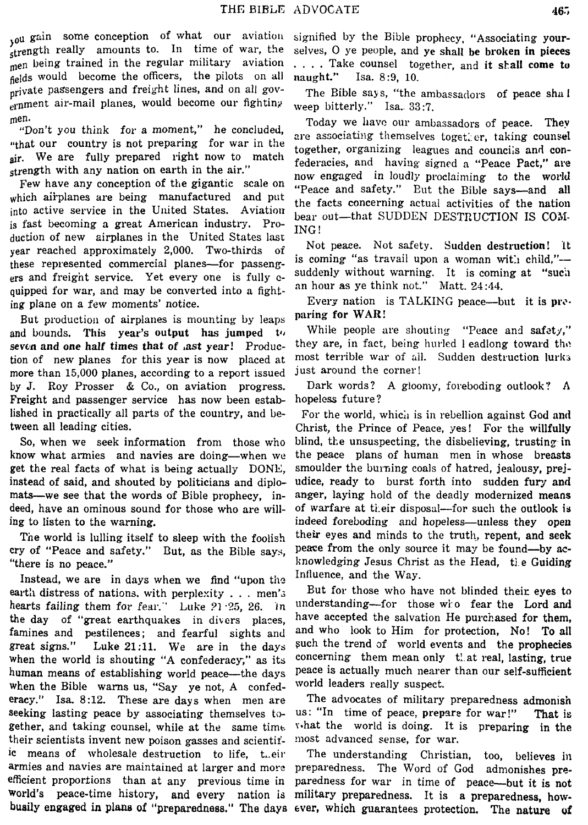$_{10}$ u gain some conception of what our aviation signified by the Bible prophecy, "Associating your- $\zeta$ trength really amounts to. In time of war, the selves, O ye people, and ye shall be broken in pieces men being trained in the regular military aviation . . . Take counsel together and it shall come to fields would become the officers, the pilots on all neglection of all new readers and freight lines, and on all gov- $\ldots$ <sub>ern</sub>ment air-mail planes, would become our fighting.

"that our country is not preparing for war in the diversion and the together, organizing leagues and councils and con-<br>sir. We are fully prepared right now to match following and having sime in the proper Date onair. We are tuny prepared right now to match federacies, and having signed a "Peace Pact," are strength with any nation on earth in the air."

which all planes are being manufactured and put<br>into active service in the United States. Aviation bear out-that SUDDEN DESTRUCTION IS COM-<br>is fast becoming a great American industry. Pro-<br>ING! is fast becoming a great American industry. Pro-<br>duction of new airplanes in the United States last year reached approximately 2,000. Two-thirds of Not peace. Not safety. Sudden destruction! It these represented commercial planes—for passeng-<br>ers and freight service. Yet every one is fully c-<br>ers and freight service. Yet every one is fully c-<br>suddenly without warning. It is coming at "such<br>enjoyed for war, and ma quipped for war, and may be converted into a fight-<br>
ing plane on a few moments' notice.<br> **Every nation is TALKING peace—but it is pro-**<br>
Put production of airplanes is mounting by lange paring for WAR! which airplanes are being manufactured and put

But production of airplanes is mounting by leaps **paring for WAR:**<br>and bounds. **This year's output has jumped to** While people are shouting "Peace and safety," tion of new planes for this year is now placed at most terrible war of all. Sudden destruction lurks more than 15,000 planes, according to a report issued just around the corner! **by** J. Roy Prosser & Co., on aviation progress. Dark words? **A** gloomy, foreboding outlook? **<sup>A</sup>** Freight and passenger service has now been established in practically all parts of the country, and be-<br>tween all leading cities.<br>Christ, the Prince of Peace, yes! For the willfully

know what armies and navies are doing—when we the peace plans of human men in whose breasts get the real facts of what is being actually DONE, smoulder the burning coals of hatred, jealousy, prejinstead of said, and shouted by politicians and diplo- udice, ready to burst forth into sudden fuqy **and**  mats—we see that the words of Bible prophecy, in- anger, laying hold of the deadly modernized means deed, have an ominous sound for those who are will- of warfare at ti.eir disposal-for such the outlook **is**  ing to listen to the warning. indeed foreboding and hopeless-unless they open

cry of "Peace and safety." But, as the Bible says,

Instead, we are in days when we find "upon the earth distress of nations, with perplexity  $\dots$  men's But for those who have not blinded their eyes to hearts failing them for fear." Luke 21.25, 26. In understanding-for those who fear the Lord and the day of "great earthquakes in divers places, have accepted the salvation He purchased for them, famines and pestilences; and fearful sights and and who look to Him for protection, No! To **all**  great signs." Luke **21:11.** We are in the days Such the trend of world events and the prophecies when the world is shouting "A confederacy," as its concerning them mean only that real, lasting, true human means of establishing world peace—the days peace is actually much nearer than our self-sufficient<br>when the Bible, warns us. "Say, ye not. A, confed- world leaders really suspect. when the Bible warns us, "Say ye not, A confederacy." Isa. **8:12.** These are days when men are The advocates of military preparedness admonish seeking lasting peace by associating themselves  $t_0$ - us: "In time of peace, prepare for war!" That is gether, and taking counsel, while at the same time. What the world is doing. It is preparing in the their scientists invent new poison gasses and scientif- most advanced sense, for war. ic means of wholesale destruction to life, t.eir The understanding Christian, too, believes in armies and navies are maintained at larger and more efficient proportions than at any previous time in paredness for war in time of peace-but it **is** not world's peace-time history, and every nation is military preparedness. It is a preparedness, how-

being trained in the regular manner in the regular manner in the regular to regular to regular to regular to regular to regular to regular to regular to regular to regular to regular to regular to regular to regular to reg

The Bible says, "the ambassadors of peace shal weep bitterly." Isa. 33:7.

men.<br>"Don't you think for a moment," he concluded, Today we have our ambassadors of peace. They are associating themselves together, taking counsel rength with any nation on earth in the air.<br>Few have any conception of the gigantic scale on "Deces and safety". But the Bill same and all "Peace and safety." But the Bible says-and all

seven and one half times that of ast year! Produc- they are, in fact, being hurled 1 eadlong toward the

tween all leading cities. The state of the Christ, the Prince of Peace, yes! For the willfully So, when we seek information from those who blind, the unsuspecting, the disbelieving, trusting in The world is lulling itself to sleep with the foolish their eyes and minds to the truth, repent, and seek v of "Peace and safety." But, as the Bible says, peace from the only source it may be found—by ac-"there is no peace."<br>Instead we are in days when we find "upon the Influence, and the Way.

busily **engaged** in **plane of "preparednese,"** The **days** ever, which guarantees protection. The **nature of**  preparedness. The Word of God admonishes pre